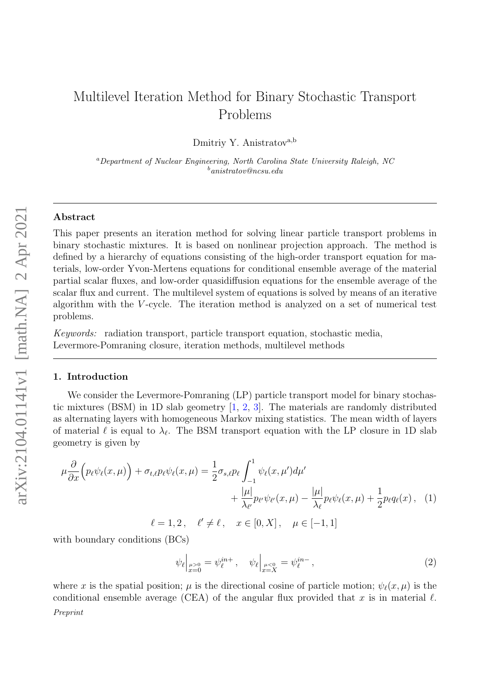# Multilevel Iteration Method for Binary Stochastic Transport Problems

Dmitriy Y. Anistratov<sup>a,b</sup>

<sup>a</sup>Department of Nuclear Engineering, North Carolina State University Raleigh, NC  $\frac{b}{a}$ anistratov@ncsu.edu

### Abstract

This paper presents an iteration method for solving linear particle transport problems in binary stochastic mixtures. It is based on nonlinear projection approach. The method is defined by a hierarchy of equations consisting of the high-order transport equation for materials, low-order Yvon-Mertens equations for conditional ensemble average of the material partial scalar fluxes, and low-order quasidiffusion equations for the ensemble average of the scalar flux and current. The multilevel system of equations is solved by means of an iterative algorithm with the V -cycle. The iteration method is analyzed on a set of numerical test problems.

Keywords: radiation transport, particle transport equation, stochastic media, Levermore-Pomraning closure, iteration methods, multilevel methods

#### 1. Introduction

We consider the Levermore-Pomraning (LP) particle transport model for binary stochastic mixtures (BSM) in 1D slab geometry [\[1,](#page-9-0) [2,](#page-9-1) [3\]](#page-9-2). The materials are randomly distributed as alternating layers with homogeneous Markov mixing statistics. The mean width of layers of material  $\ell$  is equal to  $\lambda_{\ell}$ . The BSM transport equation with the LP closure in 1D slab geometry is given by

$$
\mu \frac{\partial}{\partial x} \Big( p_{\ell} \psi_{\ell}(x,\mu) \Big) + \sigma_{t,\ell} p_{\ell} \psi_{\ell}(x,\mu) = \frac{1}{2} \sigma_{s,\ell} p_{\ell} \int_{-1}^{1} \psi_{\ell}(x,\mu') d\mu' \n+ \frac{|\mu|}{\lambda_{\ell'}} p_{\ell'} \psi_{\ell'}(x,\mu) - \frac{|\mu|}{\lambda_{\ell}} p_{\ell} \psi_{\ell}(x,\mu) + \frac{1}{2} p_{\ell} q_{\ell}(x), \quad (1)
$$
\n
$$
\ell = 1, 2, \quad \ell' \neq \ell, \quad x \in [0, X], \quad \mu \in [-1, 1]
$$

with boundary conditions (BCs)

<span id="page-0-1"></span><span id="page-0-0"></span>
$$
\psi_{\ell}|_{\substack{\mu>0\\x=0}} = \psi_{\ell}^{in+}, \quad \psi_{\ell}|_{\substack{\mu<0\\x=X}} = \psi_{\ell}^{in-}, \tag{2}
$$

where x is the spatial position;  $\mu$  is the directional cosine of particle motion;  $\psi_{\ell}(x, \mu)$  is the conditional ensemble average (CEA) of the angular flux provided that x is in material  $\ell$ .

Preprint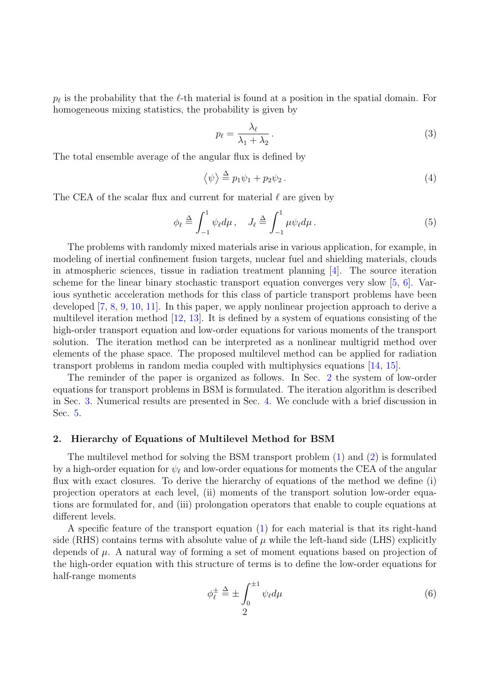$p_{\ell}$  is the probability that the  $\ell$ -th material is found at a position in the spatial domain. For homogeneous mixing statistics, the probability is given by

$$
p_{\ell} = \frac{\lambda_{\ell}}{\lambda_1 + \lambda_2} \,. \tag{3}
$$

The total ensemble average of the angular flux is defined by

$$
\langle \psi \rangle \stackrel{\Delta}{=} p_1 \psi_1 + p_2 \psi_2. \tag{4}
$$

The CEA of the scalar flux and current for material  $\ell$  are given by

$$
\phi_{\ell} \stackrel{\Delta}{=} \int_{-1}^{1} \psi_{\ell} d\mu \,, \quad J_{\ell} \stackrel{\Delta}{=} \int_{-1}^{1} \mu \psi_{\ell} d\mu \,.
$$

The problems with randomly mixed materials arise in various application, for example, in modeling of inertial confinement fusion targets, nuclear fuel and shielding materials, clouds in atmospheric sciences, tissue in radiation treatment planning  $[4]$ . The source iteration scheme for the linear binary stochastic transport equation converges very slow [\[5,](#page-9-4) [6\]](#page-9-5). Various synthetic acceleration methods for this class of particle transport problems have been developed [\[7,](#page-10-0) [8,](#page-10-1) [9,](#page-10-2) [10,](#page-10-3) [11\]](#page-10-4). In this paper, we apply nonlinear projection approach to derive a multilevel iteration method [\[12,](#page-10-5) [13\]](#page-10-6). It is defined by a system of equations consisting of the high-order transport equation and low-order equations for various moments of the transport solution. The iteration method can be interpreted as a nonlinear multigrid method over elements of the phase space. The proposed multilevel method can be applied for radiation transport problems in random media coupled with multiphysics equations [\[14,](#page-10-7) [15\]](#page-10-8).

The reminder of the paper is organized as follows. In Sec. [2](#page-1-0) the system of low-order equations for transport problems in BSM is formulated. The iteration algorithm is described in Sec. [3.](#page-5-0) Numerical results are presented in Sec. [4.](#page-6-0) We conclude with a brief discussion in Sec. [5.](#page-8-0)

#### <span id="page-1-0"></span>2. Hierarchy of Equations of Multilevel Method for BSM

The multilevel method for solving the BSM transport problem [\(1\)](#page-0-0) and [\(2\)](#page-0-1) is formulated by a high-order equation for  $\psi_{\ell}$  and low-order equations for moments the CEA of the angular flux with exact closures. To derive the hierarchy of equations of the method we define (i) projection operators at each level, (ii) moments of the transport solution low-order equations are formulated for, and (iii) prolongation operators that enable to couple equations at different levels.

A specific feature of the transport equation [\(1\)](#page-0-0) for each material is that its right-hand side (RHS) contains terms with absolute value of  $\mu$  while the left-hand side (LHS) explicitly depends of  $\mu$ . A natural way of forming a set of moment equations based on projection of the high-order equation with this structure of terms is to define the low-order equations for half-range moments

$$
\phi_{\ell}^{\pm} \stackrel{\Delta}{=} \pm \int_0^{\pm 1} \psi_{\ell} d\mu \tag{6}
$$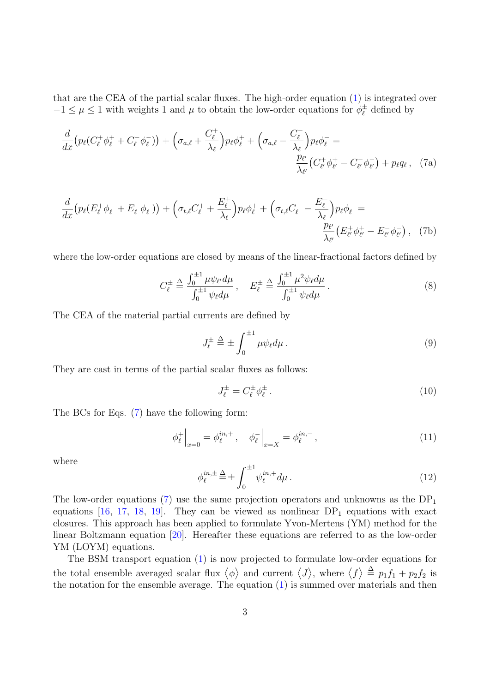that are the CEA of the partial scalar fluxes. The high-order equation [\(1\)](#page-0-0) is integrated over  $-1 \leq \mu \leq 1$  with weights 1 and  $\mu$  to obtain the low-order equations for  $\phi_{\ell}^{\pm}$  $\psi_{\ell}^{\pm}$  defined by

$$
\frac{d}{dx}\left(p_{\ell}(C_{\ell}^{+}\phi_{\ell}^{+}+C_{\ell}^{-}\phi_{\ell}^{-})\right)+\left(\sigma_{a,\ell}+\frac{C_{\ell}^{+}}{\lambda_{\ell}}\right)p_{\ell}\phi_{\ell}^{+}+\left(\sigma_{a,\ell}-\frac{C_{\ell}^{-}}{\lambda_{\ell}}\right)p_{\ell}\phi_{\ell}^{-}=\frac{p_{\ell'}}{\lambda_{\ell'}}\left(C_{\ell'}^{+}\phi_{\ell'}^{+}-C_{\ell'}^{-}\phi_{\ell'}^{-}\right)+p_{\ell}q_{\ell},\quad(7a)
$$

$$
\frac{d}{dx}\left(p_{\ell}(E_{\ell}^{+}\phi_{\ell}^{+}+E_{\ell}^{-}\phi_{\ell}^{-})\right)+\left(\sigma_{t,\ell}C_{\ell}^{+}+\frac{E_{\ell}^{+}}{\lambda_{\ell}}\right)p_{\ell}\phi_{\ell}^{+}+\left(\sigma_{t,\ell}C_{\ell}^{-}-\frac{E_{\ell}^{-}}{\lambda_{\ell}}\right)p_{\ell}\phi_{\ell}^{-}=\frac{p_{\ell'}}{\lambda_{\ell'}}\left(E_{\ell'}^{+}\phi_{\ell'}^{+}-E_{\ell'}^{-}\phi_{\ell'}^{-}\right),\quad(7b)
$$

where the low-order equations are closed by means of the linear-fractional factors defined by

<span id="page-2-0"></span>
$$
C_{\ell}^{\pm} \triangleq \frac{\int_{0}^{\pm 1} \mu \psi_{\ell'} d\mu}{\int_{0}^{\pm 1} \psi_{\ell} d\mu}, \quad E_{\ell}^{\pm} \triangleq \frac{\int_{0}^{\pm 1} \mu^{2} \psi_{\ell} d\mu}{\int_{0}^{\pm 1} \psi_{\ell} d\mu}.
$$
 (8)

The CEA of the material partial currents are defined by

<span id="page-2-2"></span><span id="page-2-1"></span>
$$
J_{\ell}^{\pm} \stackrel{\Delta}{=} \pm \int_0^{\pm 1} \mu \psi_{\ell} d\mu \,. \tag{9}
$$

They are cast in terms of the partial scalar fluxes as follows:

<span id="page-2-3"></span>
$$
J_{\ell}^{\pm} = C_{\ell}^{\pm} \phi_{\ell}^{\pm} \,. \tag{10}
$$

The BCs for Eqs. [\(7\)](#page-2-0) have the following form:

<span id="page-2-4"></span>
$$
\phi_{\ell}^{+}\Big|_{x=0} = \phi_{\ell}^{in,+}, \quad \phi_{\ell}^{-}\Big|_{x=X} = \phi_{\ell}^{in,-}, \tag{11}
$$

where

$$
\phi_{\ell}^{in,\pm} \stackrel{\Delta}{=} \pm \int_0^{\pm 1} \psi_{\ell}^{in,+} d\mu \,. \tag{12}
$$

The low-order equations [\(7\)](#page-2-0) use the same projection operators and unknowns as the  $DP_1$ equations [\[16,](#page-10-9) [17,](#page-10-10) [18,](#page-10-11) [19\]](#page-10-12). They can be viewed as nonlinear  $DP_1$  equations with exact closures. This approach has been applied to formulate Yvon-Mertens (YM) method for the linear Boltzmann equation [\[20\]](#page-10-13). Hereafter these equations are referred to as the low-order YM (LOYM) equations.

The BSM transport equation [\(1\)](#page-0-0) is now projected to formulate low-order equations for the total ensemble averaged scalar flux  $\langle \phi \rangle$  and current  $\langle J \rangle$ , where  $\langle f \rangle \stackrel{\Delta}{=} p_1 f_1 + p_2 f_2$  is the notation for the ensemble average. The equation [\(1\)](#page-0-0) is summed over materials and then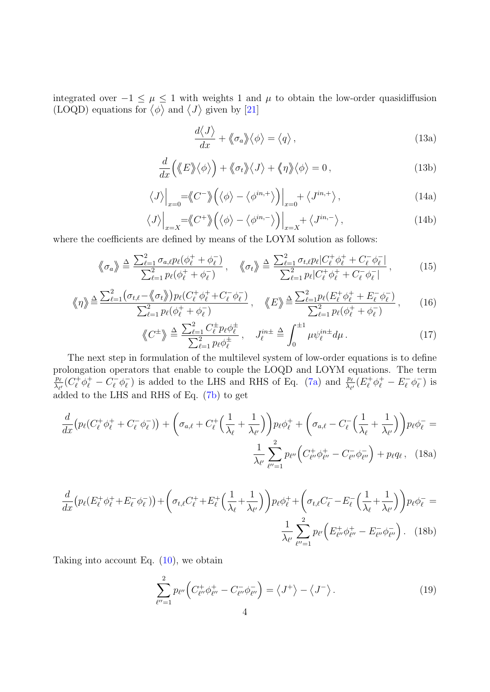integrated over  $-1 \leq \mu \leq 1$  with weights 1 and  $\mu$  to obtain the low-order quasidiffusion (LOQD) equations for  $\langle \phi \rangle$  and  $\langle J \rangle$  given by [\[21\]](#page-10-14)

<span id="page-3-2"></span>
$$
\frac{d\langle J\rangle}{dx} + \langle\!\langle \sigma_a \rangle\!\rangle \langle \phi \rangle = \langle q \rangle, \qquad (13a)
$$

$$
\frac{d}{dx}\left(\langle E \rangle \langle \phi \rangle\right) + \langle \phi \rangle \langle J \rangle + \langle \phi \rangle \langle \phi \rangle = 0, \qquad (13b)
$$

$$
\langle J \rangle \Big|_{x=0} = \langle C^- \rangle \Big( \langle \phi \rangle - \langle \phi^{in,+} \rangle \Big) \Big|_{x=0} + \langle J^{in,+} \rangle , \tag{14a}
$$

$$
\langle J \rangle \Big|_{x=X} = \langle C^+ \rangle \Big( \langle \phi \rangle - \langle \phi^{in,-} \rangle \Big) \Big|_{x=X} + \langle J^{in,-} \rangle \,, \tag{14b}
$$

<span id="page-3-3"></span>where the coefficients are defined by means of the LOYM solution as follows:

$$
\langle \!\langle \sigma_a \rangle \rangle \triangleq \frac{\sum_{\ell=1}^2 \sigma_{a,\ell} p_{\ell} (\phi_{\ell}^+ + \phi_{\ell}^-)}{\sum_{\ell=1}^2 p_{\ell} (\phi_{\ell}^+ + \phi_{\ell}^-)}, \quad \langle \!\langle \sigma_t \rangle \rangle \triangleq \frac{\sum_{\ell=1}^2 \sigma_{t,\ell} p_{\ell} | C_{\ell}^+ \phi_{\ell}^+ + C_{\ell}^- \phi_{\ell}^-|}{\sum_{\ell=1}^2 p_{\ell} | C_{\ell}^+ \phi_{\ell}^+ + C_{\ell}^- \phi_{\ell}^-|}, \tag{15}
$$

$$
\langle \!\langle \eta \rangle \rangle \stackrel{\Delta}{=} \frac{\sum_{\ell=1}^{2} (\sigma_{t,\ell} - \langle \!\langle \sigma_t \rangle \rangle) p_{\ell} (C_{\ell}^+ \phi_{\ell}^+ + C_{\ell}^- \phi_{\ell}^-)}{\sum_{\ell=1}^{2} p_{\ell} (\phi_{\ell}^+ + \phi_{\ell}^-)} , \quad \langle \!\langle E \rangle \rangle \stackrel{\Delta}{=} \frac{\sum_{\ell=1}^{2} p_{\ell} (E_{\ell}^+ \phi_{\ell}^+ + E_{\ell}^- \phi_{\ell}^-)}{\sum_{\ell=1}^{2} p_{\ell} (\phi_{\ell}^+ + \phi_{\ell}^-)} , \qquad (16)
$$

<span id="page-3-1"></span>
$$
\langle C^{\pm} \rangle \triangleq \frac{\sum_{\ell=1}^{2} C_{\ell}^{\pm} p_{\ell} \phi_{\ell}^{\pm}}{\sum_{\ell=1}^{2} p_{\ell} \phi_{\ell}^{\pm}}, \quad J_{\ell}^{in \pm} \triangleq \int_{0}^{\pm 1} \mu \psi_{\ell}^{in \pm} d\mu. \tag{17}
$$

The next step in formulation of the multilevel system of low-order equations is to define prolongation operators that enable to couple the LOQD and LOYM equations. The term  $p_{\ell}$  $\frac{p_\ell}{\lambda_{\ell'}}(C^+_\ell \phi^+_\ell - C^-_\ell \phi^-_\ell)$  $\overline{\ell}_{\ell}$ ) is added to the LHS and RHS of Eq. [\(7a\)](#page-2-1) and  $\frac{p_{\ell}}{\lambda_{\ell'}}(E_{\ell}^+\phi_{\ell}^+ - E_{\ell}^-\phi_{\ell}^-)$  $\bar{\ell}$ ) is added to the LHS and RHS of Eq. [\(7b\)](#page-2-2) to get

$$
\frac{d}{dx}\left(p_{\ell}(C_{\ell}^{+}\phi_{\ell}^{+}+C_{\ell}^{-}\phi_{\ell}^{-})\right)+\left(\sigma_{a,\ell}+C_{\ell}^{+}\left(\frac{1}{\lambda_{\ell}}+\frac{1}{\lambda_{\ell'}}\right)\right)p_{\ell}\phi_{\ell}^{+}+\left(\sigma_{a,\ell}-C_{\ell}^{-}\left(\frac{1}{\lambda_{\ell}}+\frac{1}{\lambda_{\ell'}}\right)\right)p_{\ell}\phi_{\ell}^{-}=\frac{1}{\lambda_{\ell'}}\sum_{\ell''=1}^{2}p_{\ell''}\left(C_{\ell''}^{+}\phi_{\ell''}^{+}-C_{\ell''}^{-}\phi_{\ell''}^{-}\right)+p_{\ell}q_{\ell}\,,\quad(18a)
$$

$$
\frac{d}{dx}\left(p_{\ell}(E_{\ell}^{+}\phi_{\ell}^{+}+E_{\ell}^{-}\phi_{\ell}^{-})\right)+\left(\sigma_{t,\ell}C_{\ell}^{+}+E_{\ell}^{+}\left(\frac{1}{\lambda_{\ell}}+\frac{1}{\lambda_{\ell'}}\right)\right)p_{\ell}\phi_{\ell}^{+}+\left(\sigma_{t,\ell}C_{\ell}^{-}-E_{\ell}^{-}\left(\frac{1}{\lambda_{\ell}}+\frac{1}{\lambda_{\ell'}}\right)\right)p_{\ell}\phi_{\ell}^{-}=\frac{1}{\lambda_{\ell'}}\sum_{\ell''=1}^{2}p_{\ell'}\left(E_{\ell''}^{+}\phi_{\ell''}^{+}-E_{\ell''}^{-}\phi_{\ell''}^{-}\right). \tag{18b}
$$

Taking into account Eq.  $(10)$ , we obtain

<span id="page-3-0"></span>
$$
\sum_{\ell'=1}^{2} p_{\ell''} \left( C_{\ell''}^+ \phi_{\ell''}^+ - C_{\ell''}^- \phi_{\ell''}^- \right) = \left\langle J^+ \right\rangle - \left\langle J^- \right\rangle. \tag{19}
$$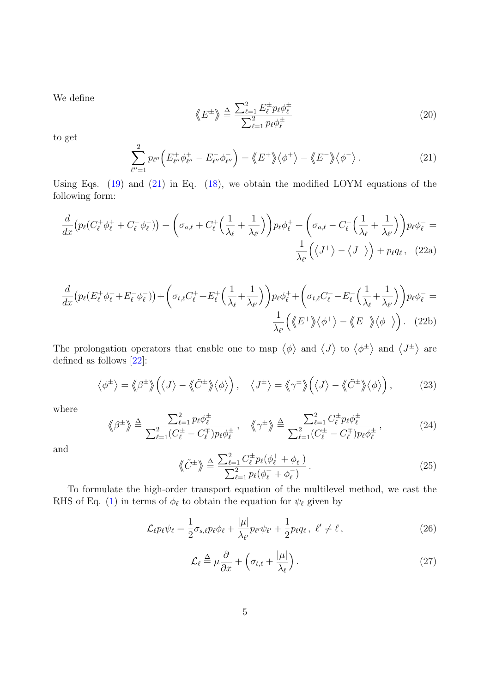We define

$$
\langle E^{\pm} \rangle \triangleq \frac{\sum_{\ell=1}^{2} E_{\ell}^{\pm} p_{\ell} \phi_{\ell}^{\pm}}{\sum_{\ell=1}^{2} p_{\ell} \phi_{\ell}^{\pm}}
$$
(20)

to get

<span id="page-4-2"></span><span id="page-4-0"></span>
$$
\sum_{\ell''=1}^{2} p_{\ell''} \Big( E_{\ell''}^+ \phi_{\ell''}^+ - E_{\ell''}^- \phi_{\ell''}^- \Big) = \langle \! \langle E^+ \rangle \! \rangle \langle \phi^+ \rangle - \langle \! \langle E^- \rangle \! \rangle \langle \phi^- \rangle \,. \tag{21}
$$

Using Eqs.  $(19)$  and  $(21)$  in Eq.  $(18)$ , we obtain the modified LOYM equations of the following form:

$$
\frac{d}{dx}\left(p_{\ell}(C_{\ell}^{+}\phi_{\ell}^{+}+C_{\ell}^{-}\phi_{\ell}^{-})\right)+\left(\sigma_{a,\ell}+C_{\ell}^{+}\left(\frac{1}{\lambda_{\ell}}+\frac{1}{\lambda_{\ell'}}\right)\right)p_{\ell}\phi_{\ell}^{+}+\left(\sigma_{a,\ell}-C_{\ell}^{-}\left(\frac{1}{\lambda_{\ell}}+\frac{1}{\lambda_{\ell'}}\right)\right)p_{\ell}\phi_{\ell}^{-}=\frac{1}{\lambda_{\ell'}}\left(\left\langle J^{+}\right\rangle-\left\langle J^{-}\right\rangle\right)+p_{\ell}q_{\ell},\quad(22a)
$$

$$
\frac{d}{dx}\left(p_{\ell}(E_{\ell}^{+}\phi_{\ell}^{+}+E_{\ell}^{-}\phi_{\ell}^{-})\right)+\left(\sigma_{t,\ell}C_{\ell}^{+}+E_{\ell}^{+}\left(\frac{1}{\lambda_{\ell}}+\frac{1}{\lambda_{\ell'}}\right)\right)p_{\ell}\phi_{\ell}^{+}+\left(\sigma_{t,\ell}C_{\ell}^{-}-E_{\ell}^{-}\left(\frac{1}{\lambda_{\ell}}+\frac{1}{\lambda_{\ell'}}\right)\right)p_{\ell}\phi_{\ell}^{-}=\frac{1}{\lambda_{\ell'}}\left(\langle E^{+}\rangle\langle\phi^{+}\rangle-\langle E^{-}\rangle\langle\phi^{-}\rangle\right). \tag{22b}
$$

The prolongation operators that enable one to map  $\langle \phi \rangle$  and  $\langle J \rangle$  to  $\langle \phi^{\pm} \rangle$  and  $\langle J^{\pm} \rangle$  are defined as follows [\[22\]](#page-10-15):

$$
\langle \phi^{\pm} \rangle = \langle \phi^{\pm} \rangle \Big( \langle J \rangle - \langle \tilde{C}^{\pm} \rangle \langle \phi \rangle \Big), \quad \langle J^{\pm} \rangle = \langle \phi^{\pm} \rangle \Big( \langle J \rangle - \langle \tilde{C}^{\pm} \rangle \langle \phi \rangle \Big), \tag{23}
$$

where

$$
\langle \beta^{\pm} \rangle \triangleq \frac{\sum_{\ell=1}^{2} p_{\ell} \phi_{\ell}^{\pm}}{\sum_{\ell=1}^{2} (C_{\ell}^{\pm} - C_{\ell}^{\mp}) p_{\ell} \phi_{\ell}^{\pm}}, \quad \langle \gamma^{\pm} \rangle \triangleq \frac{\sum_{\ell=1}^{2} C_{\ell}^{\pm} p_{\ell} \phi_{\ell}^{\pm}}{\sum_{\ell=1}^{2} (C_{\ell}^{\pm} - C_{\ell}^{\mp}) p_{\ell} \phi_{\ell}^{\pm}},
$$
(24)

and

$$
\langle \tilde{C}^{\pm} \rangle \triangleq \frac{\sum_{\ell=1}^{2} C_{\ell}^{\pm} p_{\ell} (\phi_{\ell}^{+} + \phi_{\ell}^{-})}{\sum_{\ell=1}^{2} p_{\ell} (\phi_{\ell}^{+} + \phi_{\ell}^{-})}.
$$
\n(25)

To formulate the high-order transport equation of the multilevel method, we cast the RHS of Eq. [\(1\)](#page-0-0) in terms of  $\phi_{\ell}$  to obtain the equation for  $\psi_{\ell}$  given by

<span id="page-4-1"></span>
$$
\mathcal{L}_{\ell} p_{\ell} \psi_{\ell} = \frac{1}{2} \sigma_{s,\ell} p_{\ell} \phi_{\ell} + \frac{|\mu|}{\lambda_{\ell'}} p_{\ell'} \psi_{\ell'} + \frac{1}{2} p_{\ell} q_{\ell} , \quad \ell' \neq \ell , \tag{26}
$$

$$
\mathcal{L}_{\ell} \stackrel{\Delta}{=} \mu \frac{\partial}{\partial x} + \left( \sigma_{t,\ell} + \frac{|\mu|}{\lambda_{\ell}} \right). \tag{27}
$$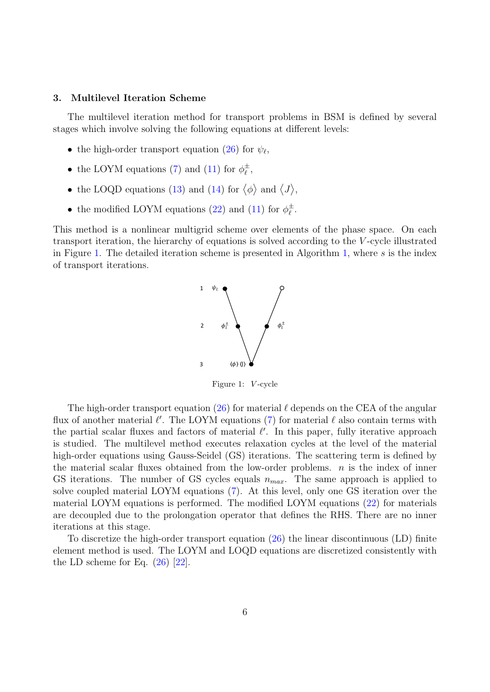## <span id="page-5-0"></span>3. Multilevel Iteration Scheme

The multilevel iteration method for transport problems in BSM is defined by several stages which involve solving the following equations at different levels:

- the high-order transport equation [\(26\)](#page-4-1) for  $\psi_{\ell}$ ,
- the LOYM equations [\(7\)](#page-2-0) and [\(11\)](#page-2-4) for  $\phi_{\ell}^{\pm}$  $_\ell^\pm,$
- the LOQD equations [\(13\)](#page-3-2) and [\(14\)](#page-3-3) for  $\langle \phi \rangle$  and  $\langle J \rangle$ ,
- the modified LOYM equations [\(22\)](#page-4-2) and [\(11\)](#page-2-4) for  $\phi_{\ell}^{\pm}$  $\frac{\pm}{\ell}$  .

<span id="page-5-1"></span>This method is a nonlinear multigrid scheme over elements of the phase space. On each transport iteration, the hierarchy of equations is solved according to the V -cycle illustrated in Figure [1.](#page-5-1) The detailed iteration scheme is presented in Algorithm [1,](#page-6-1) where s is the index of transport iterations.



Figure 1: V -cycle

The high-order transport equation  $(26)$  for material  $\ell$  depends on the CEA of the angular flux of another material  $\ell'$ . The LOYM equations [\(7\)](#page-2-0) for material  $\ell$  also contain terms with the partial scalar fluxes and factors of material  $\ell'$ . In this paper, fully iterative approach is studied. The multilevel method executes relaxation cycles at the level of the material high-order equations using Gauss-Seidel (GS) iterations. The scattering term is defined by the material scalar fluxes obtained from the low-order problems.  $n$  is the index of inner GS iterations. The number of GS cycles equals  $n_{max}$ . The same approach is applied to solve coupled material LOYM equations [\(7\)](#page-2-0). At this level, only one GS iteration over the material LOYM equations is performed. The modified LOYM equations [\(22\)](#page-4-2) for materials are decoupled due to the prolongation operator that defines the RHS. There are no inner iterations at this stage.

To discretize the high-order transport equation [\(26\)](#page-4-1) the linear discontinuous (LD) finite element method is used. The LOYM and LOQD equations are discretized consistently with the LD scheme for Eq.  $(26)$  [\[22\]](#page-10-15).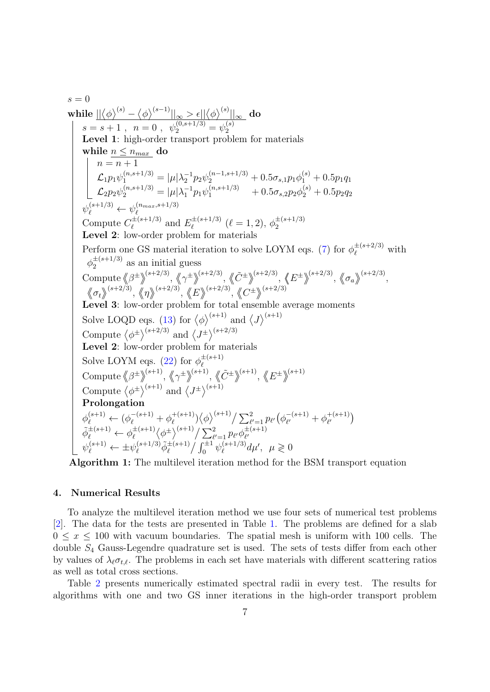$s = 0$ while  $\|\langle \phi \rangle^{(s)} - \langle \phi \rangle^{(s-1)}\|_\infty > \epsilon \|\langle \phi \rangle^{(s)}\|_\infty$  do  $s = s + 1$ ,  $n = 0$ ,  $\psi_2^{(0, s+1/3)} = \psi_2^{(s)}$ 2 Level 1: high-order transport problem for materials while  $n \leq n_{max}$  do  $n = n + 1$  $\mathcal{L}_1 p_1 \psi_1^{(n,s+1/3)} = |\mu| \lambda_2^{-1} p_2 \psi_2^{(n-1,s+1/3)} + 0.5 \sigma_{s,1} p_1 \phi_1^{(s)} + 0.5 p_1 q_1$  $\mathcal{L}_2 p_2 \psi_2^{(n,s+1/3)} = |\mu| \lambda_1^{-1} p_1 \psi_1^{(n,s+1/3)} \quad + 0.5 \sigma_{s,2} p_2 \phi_2^{(s)} + 0.5 p_2 q_2$  $\psi_{\ell}^{(s+1/3)} \leftarrow \psi_{\ell}^{(n_{max}, s+1/3)}$  $\ell$ Compute  $C_{\ell}^{\pm (s+1/3)}$  $e^{i\pm (s+1/3)}$  and  $E_{\ell}^{\pm (s+1/3)}$  $\psi_{\ell}^{\pm (s+1/3)}$   $(\ell = 1, 2), \phi_{2}^{\pm (s+1/3)}$ 2 Level 2: low-order problem for materials Perform one GS material iteration to solve LOYM eqs. [\(7\)](#page-2-0) for  $\phi_{\ell}^{\pm (s+2/3)}$  with  $\phi_2^{\pm (s+1/3)}$  as an initial guess 2 Compute  $\langle \beta^{\pm} \rangle^{(s+2/3)}, \langle \gamma^{\pm} \rangle^{(s+2/3)}, \langle \langle \tilde{C}^{\pm} \rangle^{(s+2/3)}, \langle \langle E^{\pm} \rangle^{(s+2/3)}, \langle \langle \sigma_a \rangle^{(s+2/3)},$  $\langle \sigma_t \rangle^{(s+2/3)}, \langle \eta \rangle^{(s+2/3)}, \langle \langle E \rangle^{(s+2/3)}, \langle \langle C^{\pm} \rangle^{(s+2/3)}$ Level 3: low-order problem for total ensemble average moments Solve LOQD eqs. [\(13\)](#page-3-2) for  $\langle \phi \rangle^{(s+1)}$  and  $\langle J \rangle^{(s+1)}$ Compute  $\langle \phi^{\pm} \rangle^{(s+2/3)}$  and  $\langle J^{\pm} \rangle^{(s+2/3)}$ Level 2: low-order problem for materials Solve LOYM eqs. [\(22\)](#page-4-2) for  $\phi_{\ell}^{\pm (s+1)}$  $\ell$ Compute  $\langle \beta^{\pm} \rangle^{(s+1)}$ ,  $\langle \gamma^{\pm} \rangle^{(s+1)}$ ,  $\langle \langle \tilde{C}^{\pm} \rangle^{(s+1)}$ ,  $\langle E^{\pm} \rangle^{(s+1)}$ Compute  $\langle \phi^{\pm} \rangle^{(s+1)}$  and  $\langle J^{\pm} \rangle^{(s+1)}$ Prolongation  $\phi_{\ell}^{(s+1)} \leftarrow (\phi_{\ell}^{-(s+1)} + \phi_{\ell}^{+(s+1)})$  $\mathcal{L}_{\ell}^{+(s+1)} \rangle \big<\phi\big>^{(s+1)} / \sum_{\ell'=1}^2 p_{\ell'} \big(\phi_{\ell'}^{-(s+1)}\big)$  $\phi_{\ell'}^{-(s+1)} + \phi_{\ell'}^{+(s+1)}$  $\begin{pmatrix} + (s+1) \\ \ell' \end{pmatrix}$  $\tilde{\phi}_{\ell}^{\pm (s+1)} \leftarrow \phi_{\ell}^{\pm (s+1)}$  $\int_{\ell}^{\pm (s+1)} \langle \phi^{\pm} \rangle^{(s+1)} / \sum_{\ell'=1}^{2} p_{\ell'} \phi^{\pm (s+1)}_{\ell'}$  $\ell'$  $\psi_{\ell}^{(s+1)} \leftarrow \pm \psi_{\ell}^{(s+1/3)} \tilde{\phi}_{\ell}^{\pm (s+1)} / \int_0^{\pm 1} \psi_{\ell}^{(s+1/3)}$  $\int_{\ell}^{(s+1/3)} d\mu', \ \ \mu \geq 0$ 

<span id="page-6-1"></span>Algorithm 1: The multilevel iteration method for the BSM transport equation

## <span id="page-6-0"></span>4. Numerical Results

To analyze the multilevel iteration method we use four sets of numerical test problems [\[2\]](#page-9-1). The data for the tests are presented in Table [1.](#page-7-0) The problems are defined for a slab  $0 \leq x \leq 100$  with vacuum boundaries. The spatial mesh is uniform with 100 cells. The double S<sup>4</sup> Gauss-Legendre quadrature set is used. The sets of tests differ from each other by values of  $\lambda_{\ell} \sigma_{t,\ell}$ . The problems in each set have materials with different scattering ratios as well as total cross sections.

Table [2](#page-7-1) presents numerically estimated spectral radii in every test. The results for algorithms with one and two GS inner iterations in the high-order transport problem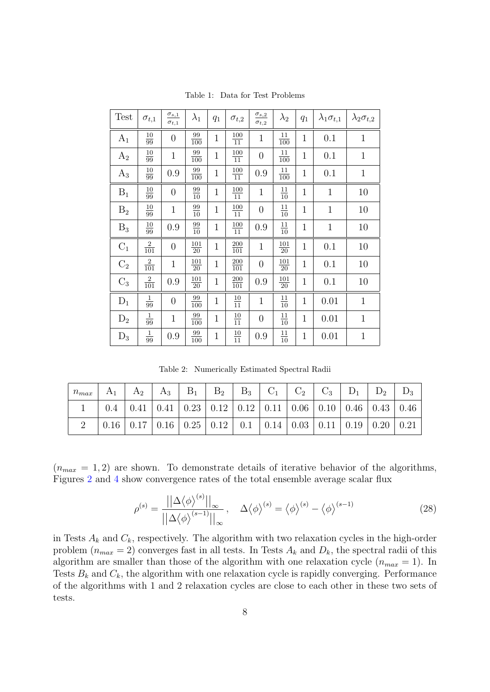<span id="page-7-0"></span>

| Test           | $\sigma_{t,1}$                      | $\sigma_{s,1}$<br>$\sigma_{t,1}$ | $\lambda_1$                          | $q_1$          | $\sigma_{t,2}$                        | $\underline{\sigma_{s,2}}$<br>$\sigma_{t,2}$ | $\lambda_2$            | $q_1$        | $\lambda_1 \sigma_{t,1}$ | $\lambda_2 \sigma_{t,2}$ |
|----------------|-------------------------------------|----------------------------------|--------------------------------------|----------------|---------------------------------------|----------------------------------------------|------------------------|--------------|--------------------------|--------------------------|
| $A_1$          | $\frac{10}{99}$                     | $\boldsymbol{0}$                 | $\frac{99}{100}$                     | $\mathbf{1}$   | $\frac{100}{11}$                      | $\mathbf{1}$                                 | $\frac{11}{100}$       | $\mathbf{1}$ | 0.1                      | $\mathbf{1}$             |
| $A_2$          | $\frac{10}{99}$                     | $\mathbf{1}$                     | $\frac{99}{100}$                     | $\mathbf{1}$   | $\frac{100}{11}$                      | $\overline{0}$                               | $\frac{11}{100}$       | $\mathbf{1}$ | 0.1                      | $\mathbf{1}$             |
| $A_3$          | $\frac{10}{99}$                     | 0.9                              | $\frac{99}{100}$                     | $\mathbf{1}$   | $\frac{100}{11}$                      | 0.9                                          | $\frac{11}{100}$       | $\mathbf{1}$ | 0.1                      | $\mathbf 1$              |
| $B_1$          | $\frac{10}{99}$                     | $\boldsymbol{0}$                 | $\frac{99}{10}$                      | $\mathbf{1}$   | $\frac{100}{11}$                      | $\mathbf{1}$                                 | $\frac{11}{10}$        | $\mathbf{1}$ | $\mathbf{1}$             | 10                       |
| B <sub>2</sub> | $\underline{10}$<br>$\overline{99}$ | $\mathbf{1}$                     | $\frac{99}{10}$                      | $\mathbf{1}$   | $\underline{100}$<br>$\overline{11}$  | $\overline{0}$                               | $\frac{11}{10}$        | $\mathbf{1}$ | $\mathbf{1}$             | 10                       |
| $B_3$          | $\frac{10}{99}$                     | 0.9                              | $\frac{99}{10}$                      | $\mathbf{1}$   | $\frac{100}{11}$                      | 0.9                                          | $\frac{11}{10}$        | $\mathbf{1}$ | $\mathbf{1}$             | 10                       |
| $C_1$          | $\frac{2}{101}$                     | $\overline{0}$                   | $\frac{101}{20}$                     | $\overline{1}$ | 200<br>$\overline{101}$               | $\mathbf{1}$                                 | 101<br>$\overline{20}$ | $\mathbf{1}$ | 0.1                      | 10                       |
| C <sub>2</sub> | $\frac{2}{101}$                     | $\mathbf{1}$                     | $\underline{101}$<br>$\overline{20}$ | $\mathbf{1}$   | $\underline{200}$<br>$\overline{101}$ | $\overline{0}$                               | 101<br>$\overline{20}$ | $\mathbf{1}$ | 0.1                      | 10                       |
| $C_3$          | $\frac{2}{101}$                     | 0.9                              | $\frac{101}{20}$                     | $\mathbf{1}$   | $\frac{200}{101}$                     | 0.9                                          | $\frac{101}{20}$       | $\mathbf{1}$ | 0.1                      | 10                       |
| $\mathbf{D}_1$ | $\frac{1}{99}$                      | $\boldsymbol{0}$                 | $\frac{99}{100}$                     | $\mathbf{1}$   | $\frac{10}{11}$                       | $\mathbf{1}$                                 | $\frac{11}{10}$        | $\mathbf{1}$ | 0.01                     | $\mathbf{1}$             |
| $D_2$          | $\frac{1}{99}$                      | $\mathbf{1}$                     | $\frac{99}{100}$                     | $\mathbf{1}$   | $\frac{10}{11}$                       | $\overline{0}$                               | $\frac{11}{10}$        | $\mathbf{1}$ | 0.01                     | $\mathbf{1}$             |
| $D_3$          | $\frac{1}{99}$                      | 0.9                              | $\frac{99}{100}$                     | $\mathbf{1}$   | $\frac{10}{11}$                       | 0.9                                          | $\frac{11}{10}$        | $\mathbf{1}$ | 0.01                     | $\mathbf{1}$             |

Table 1: Data for Test Problems

Table 2: Numerically Estimated Spectral Radii

<span id="page-7-1"></span>

| $n_{max}$ | $A_1$                                                                                                                                      |  | $A_2 \,   \, A_3 \,   \, B_1 \,   \, B_2 \,   \, B_3 \,   \, C_1 \,   \, C_2 \,   \, C_3 \,   \, D_1 \,   \, D_2 \,  $ |  |  |  |  |
|-----------|--------------------------------------------------------------------------------------------------------------------------------------------|--|------------------------------------------------------------------------------------------------------------------------|--|--|--|--|
|           |                                                                                                                                            |  | 0.4   0.41   0.41   0.23   0.12   0.12   0.11   0.06   0.10   0.46   0.43   0.46                                       |  |  |  |  |
|           | $\vert 0.16 \vert 0.17 \vert 0.16 \vert 0.25 \vert 0.12 \vert 0.1 \vert 0.14 \vert 0.03 \vert 0.11 \vert 0.19 \vert 0.20 \vert 0.21 \vert$ |  |                                                                                                                        |  |  |  |  |

 $(n_{max} = 1, 2)$  are shown. To demonstrate details of iterative behavior of the algorithms, Figures [2](#page-8-1) and [4](#page-9-6) show convergence rates of the total ensemble average scalar flux

$$
\rho^{(s)} = \frac{\left| \left| \Delta \langle \phi \rangle^{(s)} \right| \right|_{\infty}}{\left| \left| \Delta \langle \phi \rangle^{(s-1)} \right| \right|_{\infty}}, \quad \Delta \langle \phi \rangle^{(s)} = \langle \phi \rangle^{(s)} - \langle \phi \rangle^{(s-1)} \tag{28}
$$

in Tests  $A_k$  and  $C_k$ , respectively. The algorithm with two relaxation cycles in the high-order problem  $(n_{max} = 2)$  converges fast in all tests. In Tests  $A_k$  and  $D_k$ , the spectral radii of this algorithm are smaller than those of the algorithm with one relaxation cycle  $(n_{max} = 1)$ . In Tests  $B_k$  and  $C_k$ , the algorithm with one relaxation cycle is rapidly converging. Performance of the algorithms with 1 and 2 relaxation cycles are close to each other in these two sets of tests.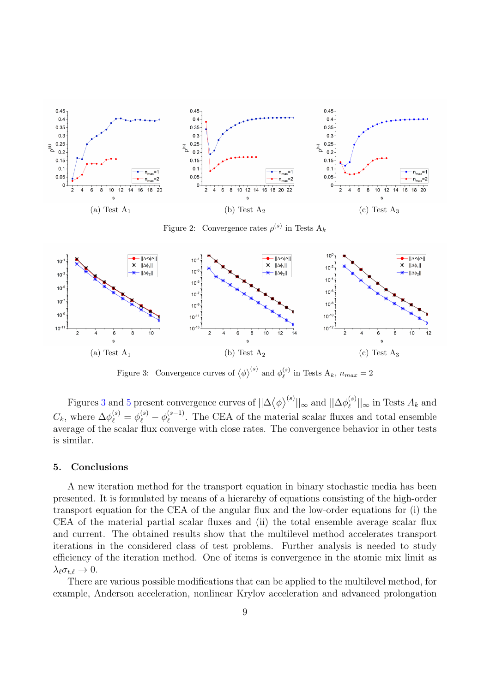<span id="page-8-1"></span>

Figure 2: Convergence rates  $\rho^{(s)}$  in Tests  $A_k$ 



Figure 3: Convergence curves of  $\langle \phi \rangle^{(s)}$  and  $\phi_{\ell}^{(s)}$  $\lambda_{\ell}^{(s)}$  in Tests  $A_k$ ,  $n_{max} = 2$ 

Figures [3](#page-8-1) and [5](#page-9-6) present convergence curves of  $||\Delta \langle \phi \rangle^{(s)}||_{\infty}$  and  $||\Delta \phi_{\ell}^{(s)}||_{\infty}$  $\left\lfloor \binom{s}{\ell} \right\rfloor_{\infty}$  in Tests  $A_k$  and  $C_k$ , where  $\Delta \phi_{\ell}^{(s)} = \phi_{\ell}^{(s)} - \phi_{\ell}^{(s-1)}$  $\ell^{(s-1)}$ . The CEA of the material scalar fluxes and total ensemble average of the scalar flux converge with close rates. The convergence behavior in other tests is similar.

## <span id="page-8-0"></span>5. Conclusions

A new iteration method for the transport equation in binary stochastic media has been presented. It is formulated by means of a hierarchy of equations consisting of the high-order transport equation for the CEA of the angular flux and the low-order equations for (i) the CEA of the material partial scalar fluxes and (ii) the total ensemble average scalar flux and current. The obtained results show that the multilevel method accelerates transport iterations in the considered class of test problems. Further analysis is needed to study efficiency of the iteration method. One of items is convergence in the atomic mix limit as  $\lambda_{\ell} \sigma_{t,\ell} \to 0.$ 

There are various possible modifications that can be applied to the multilevel method, for example, Anderson acceleration, nonlinear Krylov acceleration and advanced prolongation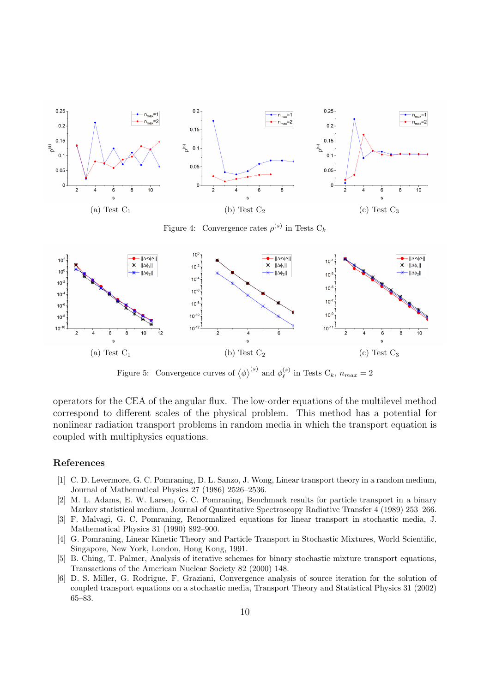<span id="page-9-6"></span>

Figure 4: Convergence rates  $\rho^{(s)}$  in Tests  $C_k$ 



Figure 5: Convergence curves of  $\langle \phi \rangle^{(s)}$  and  $\phi_{\ell}^{(s)}$  $\int_{\ell}^{(s)}$  in Tests  $C_k$ ,  $n_{max} = 2$ 

operators for the CEA of the angular flux. The low-order equations of the multilevel method correspond to different scales of the physical problem. This method has a potential for nonlinear radiation transport problems in random media in which the transport equation is coupled with multiphysics equations.

## References

- <span id="page-9-0"></span>[1] C. D. Levermore, G. C. Pomraning, D. L. Sanzo, J. Wong, Linear transport theory in a random medium, Journal of Mathematical Physics 27 (1986) 2526–2536.
- <span id="page-9-1"></span>[2] M. L. Adams, E. W. Larsen, G. C. Pomraning, Benchmark results for particle transport in a binary Markov statistical medium, Journal of Quantitative Spectroscopy Radiative Transfer 4 (1989) 253–266.
- <span id="page-9-2"></span>[3] F. Malvagi, G. C. Pomraning, Renormalized equations for linear transport in stochastic media, J. Mathematical Physics 31 (1990) 892–900.
- <span id="page-9-3"></span>[4] G. Pomraning, Linear Kinetic Theory and Particle Transport in Stochastic Mixtures, World Scientific, Singapore, New York, London, Hong Kong, 1991.
- <span id="page-9-4"></span>[5] B. Ching, T. Palmer, Analysis of iterative schemes for binary stochastic mixture transport equations, Transactions of the American Nuclear Society 82 (2000) 148.
- <span id="page-9-5"></span>[6] D. S. Miller, G. Rodrigue, F. Graziani, Convergence analysis of source iteration for the solution of coupled transport equations on a stochastic media, Transport Theory and Statistical Physics 31 (2002) 65–83.